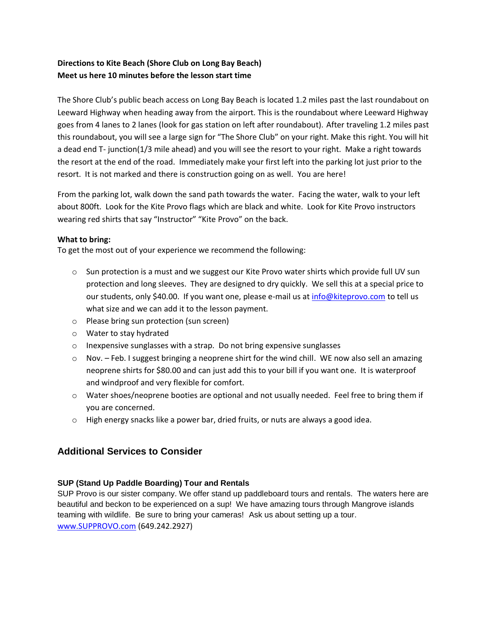## **Directions to Kite Beach (Shore Club on Long Bay Beach) Meet us here 10 minutes before the lesson start time**

The Shore Club's public beach access on Long Bay Beach is located 1.2 miles past the last roundabout on Leeward Highway when heading away from the airport. This is the roundabout where Leeward Highway goes from 4 lanes to 2 lanes (look for gas station on left after roundabout). After traveling 1.2 miles past this roundabout, you will see a large sign for "The Shore Club" on your right. Make this right. You will hit a dead end T- junction(1/3 mile ahead) and you will see the resort to your right. Make a right towards the resort at the end of the road. Immediately make your first left into the parking lot just prior to the resort. It is not marked and there is construction going on as well. You are here!

From the parking lot, walk down the sand path towards the water. Facing the water, walk to your left about 800ft. Look for the Kite Provo flags which are black and white. Look for Kite Provo instructors wearing red shirts that say "Instructor" "Kite Provo" on the back.

### **What to bring:**

To get the most out of your experience we recommend the following:

- o Sun protection is a must and we suggest our Kite Provo water shirts which provide full UV sun protection and long sleeves. They are designed to dry quickly. We sell this at a special price to our students, only \$40.00. If you want one, please e-mail us at [info@kiteprovo.com](mailto:info@kiteprovo.com) to tell us what size and we can add it to the lesson payment.
- o Please bring sun protection (sun screen)
- o Water to stay hydrated
- o Inexpensive sunglasses with a strap. Do not bring expensive sunglasses
- $\circ$  Nov. Feb. I suggest bringing a neoprene shirt for the wind chill. WE now also sell an amazing neoprene shirts for \$80.00 and can just add this to your bill if you want one. It is waterproof and windproof and very flexible for comfort.
- o Water shoes/neoprene booties are optional and not usually needed. Feel free to bring them if you are concerned.
- $\circ$  High energy snacks like a power bar, dried fruits, or nuts are always a good idea.

# **Additional Services to Consider**

## **SUP (Stand Up Paddle Boarding) Tour and Rentals**

SUP Provo is our sister company. We offer stand up paddleboard tours and rentals. The waters here are beautiful and beckon to be experienced on a sup! We have amazing tours through Mangrove islands teaming with wildlife. Be sure to bring your cameras! Ask us about setting up a tour. [www.SUPPROVO.com](http://www.supprovo.com/) (649.242.2927)